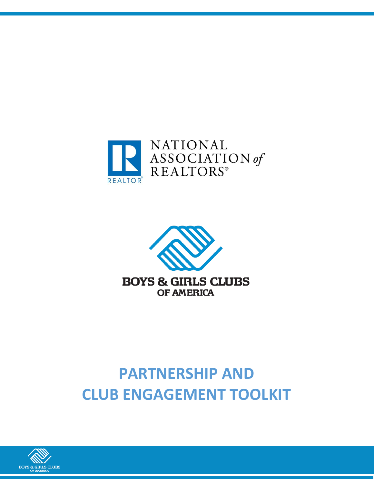



# **PARTNERSHIP AND CLUB ENGAGEMENT TOOLKIT**

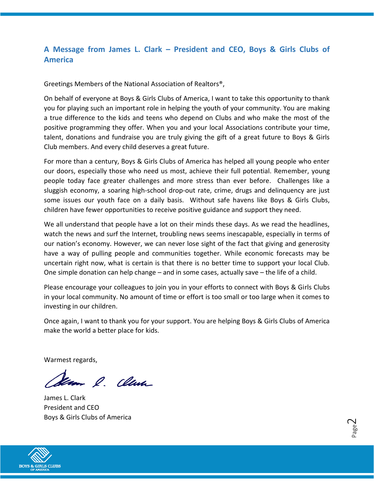# **A Message from James L. Clark – President and CEO, Boys & Girls Clubs of America**

Greetings Members of the National Association of Realtors®,

On behalf of everyone at Boys & Girls Clubs of America, I want to take this opportunity to thank you for playing such an important role in helping the youth of your community. You are making a true difference to the kids and teens who depend on Clubs and who make the most of the positive programming they offer. When you and your local Associations contribute your time, talent, donations and fundraise you are truly giving the gift of a great future to Boys & Girls Club members. And every child deserves a great future.

For more than a century, Boys & Girls Clubs of America has helped all young people who enter our doors, especially those who need us most, achieve their full potential. Remember, young people today face greater challenges and more stress than ever before. Challenges like a sluggish economy, a soaring high-school drop-out rate, crime, drugs and delinquency are just some issues our youth face on a daily basis. Without safe havens like Boys & Girls Clubs, children have fewer opportunities to receive positive guidance and support they need.

We all understand that people have a lot on their minds these days. As we read the headlines, watch the news and surf the Internet, troubling news seems inescapable, especially in terms of our nation's economy. However, we can never lose sight of the fact that giving and generosity have a way of pulling people and communities together. While economic forecasts may be uncertain right now, what is certain is that there is no better time to support your local Club. One simple donation can help change – and in some cases, actually save – the life of a child.

Please encourage your colleagues to join you in your efforts to connect with Boys & Girls Clubs in your local community. No amount of time or effort is too small or too large when it comes to investing in our children.

Once again, I want to thank you for your support. You are helping Boys & Girls Clubs of America make the world a better place for kids.

Warmest regards,

Seam & Clum

James L. Clark President and CEO Boys & Girls Clubs of America

Page  $\mathrel{\sim}$ 

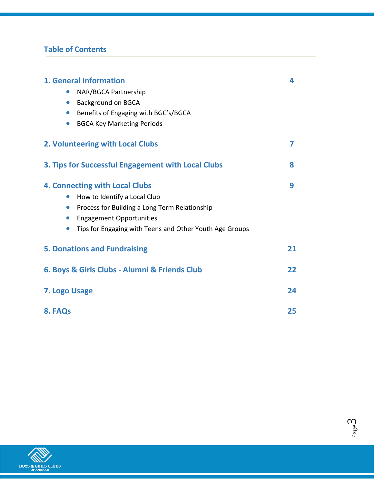# **Table of Contents**

| <b>1. General Information</b><br>NAR/BGCA Partnership<br>$\bullet$<br>• Background on BGCA<br>Benefits of Engaging with BGC's/BGCA<br>$\bullet$<br><b>BGCA Key Marketing Periods</b>                                                                                     | 4  |
|--------------------------------------------------------------------------------------------------------------------------------------------------------------------------------------------------------------------------------------------------------------------------|----|
| 2. Volunteering with Local Clubs                                                                                                                                                                                                                                         | 7  |
| 3. Tips for Successful Engagement with Local Clubs                                                                                                                                                                                                                       | 8  |
| <b>4. Connecting with Local Clubs</b><br>How to Identify a Local Club<br>$\bullet$<br>Process for Building a Long Term Relationship<br>$\bullet$<br><b>Engagement Opportunities</b><br>$\bullet$<br>Tips for Engaging with Teens and Other Youth Age Groups<br>$\bullet$ | 9  |
| <b>5. Donations and Fundraising</b>                                                                                                                                                                                                                                      | 21 |
| 6. Boys & Girls Clubs - Alumni & Friends Club                                                                                                                                                                                                                            | 22 |
| 7. Logo Usage                                                                                                                                                                                                                                                            | 24 |
| 8. FAQs                                                                                                                                                                                                                                                                  | 25 |



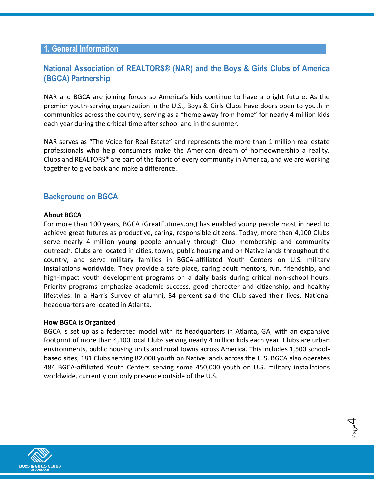## **1. General Information**

# **National Association of REALTORS® (NAR) and the Boys & Girls Clubs of America (BGCA) Partnership**

NAR and BGCA are joining forces so America's kids continue to have a bright future. As the premier youth-serving organization in the U.S., Boys & Girls Clubs have doors open to youth in communities across the country, serving as a "home away from home" for nearly 4 million kids each year during the critical time after school and in the summer.

NAR serves as "The Voice for Real Estate" and represents the more than 1 million real estate professionals who help consumers make the American dream of homeownership a reality. Clubs and REALTORS® are part of the fabric of every community in America, and we are working together to give back and make a difference.

## **Background on BGCA**

#### **About BGCA**

For more than 100 years, BGCA (GreatFutures.org) has enabled young people most in need to achieve great futures as productive, caring, responsible citizens. Today, more than 4,100 Clubs serve nearly 4 million young people annually through Club membership and community outreach. Clubs are located in cities, towns, public housing and on Native lands throughout the country, and serve military families in BGCA-affiliated Youth Centers on U.S. military installations worldwide. They provide a safe place, caring adult mentors, fun, friendship, and high-impact youth development programs on a daily basis during critical non-school hours. Priority programs emphasize academic success, good character and citizenship, and healthy lifestyles. In a Harris Survey of alumni, 54 percent said the Club saved their lives. National headquarters are located in Atlanta.

#### **How BGCA is Organized**

BGCA is set up as a federated model with its headquarters in Atlanta, GA, with an expansive footprint of more than 4,100 local Clubs serving nearly 4 million kids each year. Clubs are urban environments, public housing units and rural towns across America. This includes 1,500 schoolbased sites, 181 Clubs serving 82,000 youth on Native lands across the U.S. BGCA also operates 484 BGCA-affiliated Youth Centers serving some 450,000 youth on U.S. military installations worldwide, currently our only presence outside of the U.S.

> Page  $\overline{\mathcal{A}}$

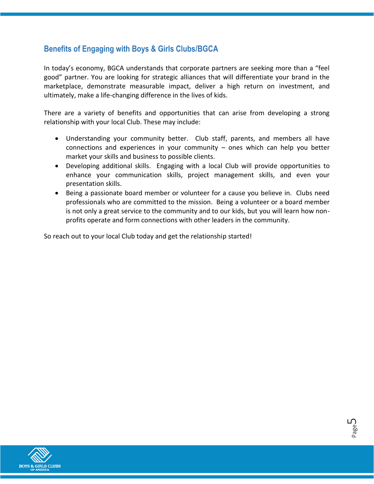# **Benefits of Engaging with Boys & Girls Clubs/BGCA**

In today's economy, BGCA understands that corporate partners are seeking more than a "feel good" partner. You are looking for strategic alliances that will differentiate your brand in the marketplace, demonstrate measurable impact, deliver a high return on investment, and ultimately, make a life-changing difference in the lives of kids.

There are a variety of benefits and opportunities that can arise from developing a strong relationship with your local Club. These may include:

- Understanding your community better. Club staff, parents, and members all have connections and experiences in your community – ones which can help you better market your skills and business to possible clients.
- Developing additional skills. Engaging with a local Club will provide opportunities to enhance your communication skills, project management skills, and even your presentation skills.
- Being a passionate board member or volunteer for a cause you believe in. Clubs need professionals who are committed to the mission. Being a volunteer or a board member is not only a great service to the community and to our kids, but you will learn how nonprofits operate and form connections with other leaders in the community.

Page ഥ

So reach out to your local Club today and get the relationship started!

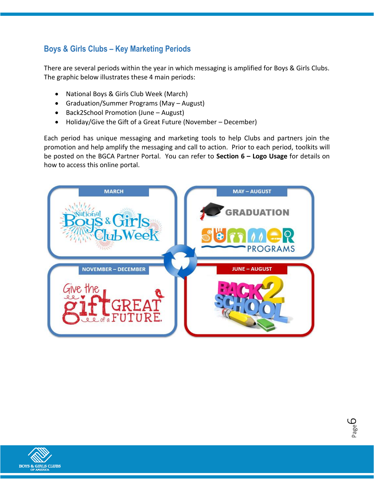# **Boys & Girls Clubs – Key Marketing Periods**

There are several periods within the year in which messaging is amplified for Boys & Girls Clubs. The graphic below illustrates these 4 main periods:

- National Boys & Girls Club Week (March)
- Graduation/Summer Programs (May August)
- Back2School Promotion (June August)
- Holiday/Give the Gift of a Great Future (November December)

Each period has unique messaging and marketing tools to help Clubs and partners join the promotion and help amplify the messaging and call to action. Prior to each period, toolkits will be posted on the BGCA Partner Portal. You can refer to **Section 6 – Logo Usage** for details on how to access this online portal.



Page ص

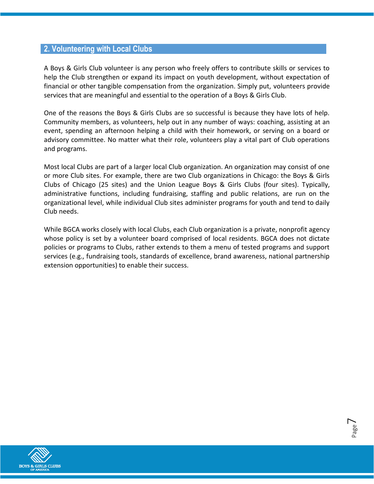## **2. Volunteering with Local Clubs**

A Boys & Girls Club volunteer is any person who freely offers to contribute skills or services to help the Club strengthen or expand its impact on youth development, without expectation of financial or other tangible compensation from the organization. Simply put, volunteers provide services that are meaningful and essential to the operation of a Boys & Girls Club.

One of the reasons the Boys & Girls Clubs are so successful is because they have lots of help. Community members, as volunteers, help out in any number of ways: coaching, assisting at an event, spending an afternoon helping a child with their homework, or serving on a board or advisory committee. No matter what their role, volunteers play a vital part of Club operations and programs.

Most local Clubs are part of a larger local Club organization. An organization may consist of one or more Club sites. For example, there are two Club organizations in Chicago: the Boys & Girls Clubs of Chicago (25 sites) and the Union League Boys & Girls Clubs (four sites). Typically, administrative functions, including fundraising, staffing and public relations, are run on the organizational level, while individual Club sites administer programs for youth and tend to daily Club needs.

While BGCA works closely with local Clubs, each Club organization is a private, nonprofit agency whose policy is set by a volunteer board comprised of local residents. BGCA does not dictate policies or programs to Clubs, rather extends to them a menu of tested programs and support services (e.g., fundraising tools, standards of excellence, brand awareness, national partnership extension opportunities) to enable their success.

> Page  $\overline{\phantom{1}}$

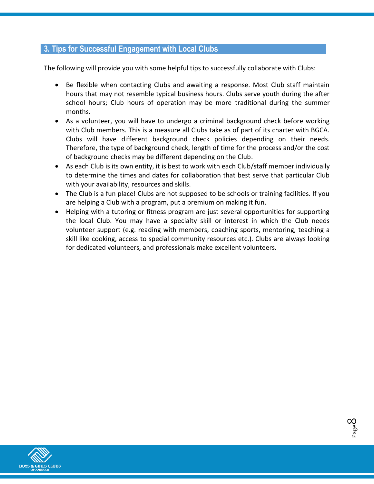## **3. Tips for Successful Engagement with Local Clubs**

The following will provide you with some helpful tips to successfully collaborate with Clubs:

- Be flexible when contacting Clubs and awaiting a response. Most Club staff maintain hours that may not resemble typical business hours. Clubs serve youth during the after school hours; Club hours of operation may be more traditional during the summer months.
- As a volunteer, you will have to undergo a criminal background check before working with Club members. This is a measure all Clubs take as of part of its charter with BGCA. Clubs will have different background check policies depending on their needs. Therefore, the type of background check, length of time for the process and/or the cost of background checks may be different depending on the Club.
- As each Club is its own entity, it is best to work with each Club/staff member individually to determine the times and dates for collaboration that best serve that particular Club with your availability, resources and skills.
- The Club is a fun place! Clubs are not supposed to be schools or training facilities. If you are helping a Club with a program, put a premium on making it fun.
- Helping with a tutoring or fitness program are just several opportunities for supporting the local Club. You may have a specialty skill or interest in which the Club needs volunteer support (e.g. reading with members, coaching sports, mentoring, teaching a skill like cooking, access to special community resources etc.). Clubs are always looking for dedicated volunteers, and professionals make excellent volunteers.

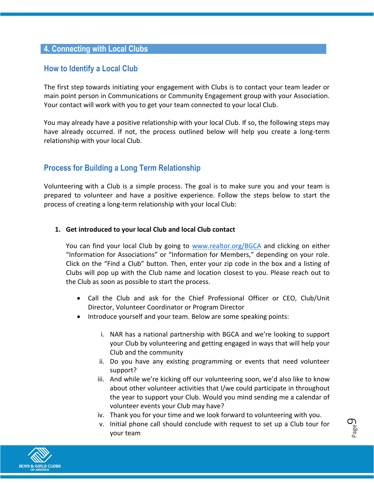## **4. Connecting with Local Clubs**

# **How to Identify a Local Club**

The first step towards initiating your engagement with Clubs is to contact your team leader or main point person in Communications or Community Engagement group with your Association. Your contact will work with you to get your team connected to your local Club.

You may already have a positive relationship with your local Club. If so, the following steps may have already occurred. If not, the process outlined below will help you create a long-term relationship with your local Club.

# **Process for Building a Long Term Relationship**

Volunteering with a Club is a simple process. The goal is to make sure you and your team is prepared to volunteer and have a positive experience. Follow the steps below to start the process of creating a long-term relationship with your local Club:

#### **1. Get introduced to your local Club and local Club contact**

You can find your local Club by going to [www.realtor.org/BGCA](http://www.realtor.org/BGCA) and clicking on either "Information for Associations" or "Information for Members," depending on your role. Click on the "Find a Club" button. Then, enter your zip code in the box and a listing of Clubs will pop up with the Club name and location closest to you. Please reach out to the Club as soon as possible to start the process.

- Call the Club and ask for the Chief Professional Officer or CEO, Club/Unit Director, Volunteer Coordinator or Program Director
- Introduce yourself and your team. Below are some speaking points:
	- i. NAR has a national partnership with BGCA and we're looking to support your Club by volunteering and getting engaged in ways that will help your Club and the community
	- ii. Do you have any existing programming or events that need volunteer support?
	- iii. And while we're kicking off our volunteering soon, we'd also like to know about other volunteer activities that I/we could participate in throughout the year to support your Club. Would you mind sending me a calendar of volunteer events your Club may have?
	- iv. Thank you for your time and we look forward to volunteering with you.
	- v. Initial phone call should conclude with request to set up a Club tour for your team

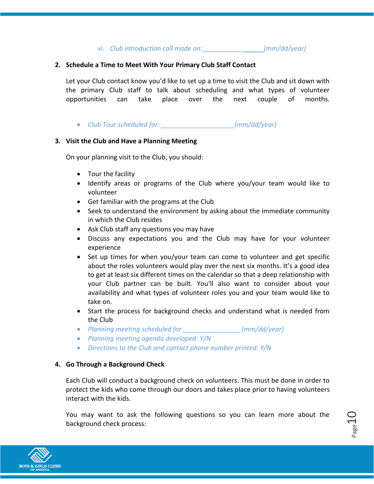vi. *Club introduction call made on:\_\_\_\_\_\_\_\_\_\_\_ (mm/dd/year)*

#### **2. Schedule a Time to Meet With Your Primary Club Staff Contact**

Let your Club contact know you'd like to set up a time to visit the Club and sit down with the primary Club staff to talk about scheduling and what types of volunteer opportunities can take place over the next couple of months.

*Club Tour scheduled for: \_\_\_\_\_\_\_\_\_\_\_\_\_\_\_\_\_\_\_\_(mm/dd/year)*

#### **3. Visit the Club and Have a Planning Meeting**

On your planning visit to the Club, you should:

- Tour the facility
- Identify areas or programs of the Club where you/your team would like to volunteer
- Get familiar with the programs at the Club
- Seek to understand the environment by asking about the immediate community in which the Club resides
- Ask Club staff any questions you may have
- Discuss any expectations you and the Club may have for your volunteer experience
- Set up times for when you/your team can come to volunteer and get specific about the roles volunteers would play over the next six months. It's a good idea to get at least six different times on the calendar so that a deep relationship with your Club partner can be built. You'll also want to consider about your availability and what types of volunteer roles you and your team would like to take on.
- Start the process for background checks and understand what is needed from the Club
- *Planning meeting scheduled for \_\_\_\_\_\_\_\_\_\_\_\_\_\_\_\_(mm/dd/year)*
- *Planning meeting agenda developed: Y/N*
- *Directions to the Club and contact phone number printed: Y/N*

## **4. Go Through a Background Check**

Each Club will conduct a background check on volunteers. This must be done in order to protect the kids who come through our doors and takes place prior to having volunteers interact with the kids.

You may want to ask the following questions so you can learn more about the background check process:

 $_{\rm Page}10$ 

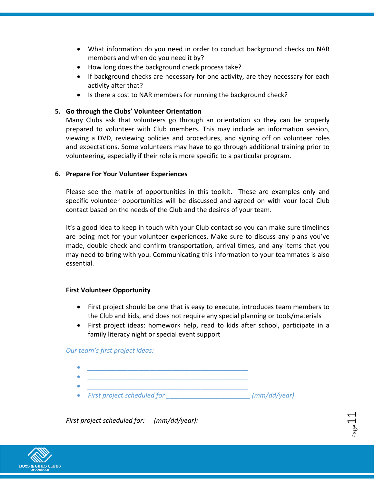- What information do you need in order to conduct background checks on NAR members and when do you need it by?
- How long does the background check process take?
- If background checks are necessary for one activity, are they necessary for each activity after that?
- Is there a cost to NAR members for running the background check?

#### **5. Go through the Clubs' Volunteer Orientation**

Many Clubs ask that volunteers go through an orientation so they can be properly prepared to volunteer with Club members. This may include an information session, viewing a DVD, reviewing policies and procedures, and signing off on volunteer roles and expectations. Some volunteers may have to go through additional training prior to volunteering, especially if their role is more specific to a particular program.

#### **6. Prepare For Your Volunteer Experiences**

Please see the matrix of opportunities in this toolkit. These are examples only and specific volunteer opportunities will be discussed and agreed on with your local Club contact based on the needs of the Club and the desires of your team.

It's a good idea to keep in touch with your Club contact so you can make sure timelines are being met for your volunteer experiences. Make sure to discuss any plans you've made, double check and confirm transportation, arrival times, and any items that you may need to bring with you. Communicating this information to your teammates is also essential.

#### **First Volunteer Opportunity**

- First project should be one that is easy to execute, introduces team members to the Club and kids, and does not require any special planning or tools/materials
- First project ideas: homework help, read to kids after school, participate in a family literacy night or special event support

 $_{\rm Page}11$ 

#### *Our team's first project ideas:*

- *\_\_\_\_\_\_\_\_\_\_\_\_\_\_\_\_\_\_\_\_\_\_\_\_\_\_\_\_\_\_\_\_\_\_\_\_\_\_\_\_\_\_\_\_*
- *\_\_\_\_\_\_\_\_\_\_\_\_\_\_\_\_\_\_\_\_\_\_\_\_\_\_\_\_\_\_\_\_\_\_\_\_\_\_\_\_\_\_\_\_*
- *First project scheduled for \_\_\_\_\_\_\_\_\_\_\_\_\_\_\_\_\_\_\_\_\_\_\_ (mm/dd/year)*

*First project scheduled for: (mm/dd/year):*

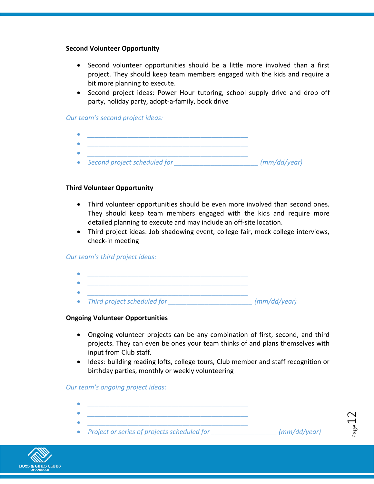#### **Second Volunteer Opportunity**

- Second volunteer opportunities should be a little more involved than a first project. They should keep team members engaged with the kids and require a bit more planning to execute.
- Second project ideas: Power Hour tutoring, school supply drive and drop off party, holiday party, adopt-a-family, book drive

#### *Our team's second project ideas:*

- *\_\_\_\_\_\_\_\_\_\_\_\_\_\_\_\_\_\_\_\_\_\_\_\_\_\_\_\_\_\_\_\_\_\_\_\_\_\_\_\_\_\_\_\_*
- *\_\_\_\_\_\_\_\_\_\_\_\_\_\_\_\_\_\_\_\_\_\_\_\_\_\_\_\_\_\_\_\_\_\_\_\_\_\_\_\_\_\_\_\_ \_\_\_\_\_\_\_\_\_\_\_\_\_\_\_\_\_\_\_\_\_\_\_\_\_\_\_\_\_\_\_\_\_\_\_\_\_\_\_\_\_\_\_\_*
- *Second project scheduled for \_\_\_\_\_\_\_\_\_\_\_\_\_\_\_\_\_\_\_\_\_\_\_ (mm/dd/year)*

#### **Third Volunteer Opportunity**

- Third volunteer opportunities should be even more involved than second ones. They should keep team members engaged with the kids and require more detailed planning to execute and may include an off-site location.
- Third project ideas: Job shadowing event, college fair, mock college interviews, check-in meeting

#### *Our team's third project ideas:*

- *\_\_\_\_\_\_\_\_\_\_\_\_\_\_\_\_\_\_\_\_\_\_\_\_\_\_\_\_\_\_\_\_\_\_\_\_\_\_\_\_\_\_\_\_ \_\_\_\_\_\_\_\_\_\_\_\_\_\_\_\_\_\_\_\_\_\_\_\_\_\_\_\_\_\_\_\_\_\_\_\_\_\_\_\_\_\_\_\_*
- *Third project scheduled for \_\_\_\_\_\_\_\_\_\_\_\_\_\_\_\_\_\_\_\_\_\_\_ (mm/dd/year)*

#### **Ongoing Volunteer Opportunities**

- Ongoing volunteer projects can be any combination of first, second, and third projects. They can even be ones your team thinks of and plans themselves with input from Club staff.
- Ideas: building reading lofts, college tours, Club member and staff recognition or birthday parties, monthly or weekly volunteering

#### *Our team's ongoing project ideas:*

- *\_\_\_\_\_\_\_\_\_\_\_\_\_\_\_\_\_\_\_\_\_\_\_\_\_\_\_\_\_\_\_\_\_\_\_\_\_\_\_\_\_\_\_\_*
- *\_\_\_\_\_\_\_\_\_\_\_\_\_\_\_\_\_\_\_\_\_\_\_\_\_\_\_\_\_\_\_\_\_\_\_\_\_\_\_\_\_\_\_\_ \_\_\_\_\_\_\_\_\_\_\_\_\_\_\_\_\_\_\_\_\_\_\_\_\_\_\_\_\_\_\_\_\_\_\_\_\_\_\_\_\_\_\_\_*
- *Project or series of projects scheduled for \_\_\_\_\_\_\_\_\_\_\_\_\_\_\_\_\_\_ (mm/dd/year)*



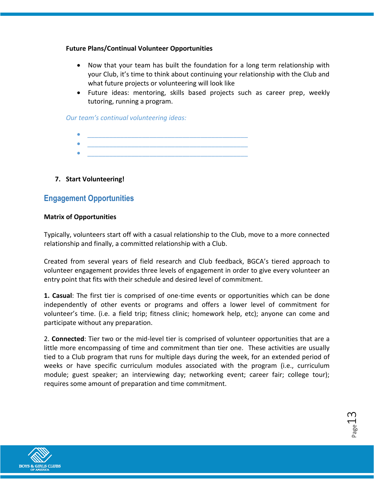#### **Future Plans/Continual Volunteer Opportunities**

- Now that your team has built the foundation for a long term relationship with your Club, it's time to think about continuing your relationship with the Club and what future projects or volunteering will look like
- Future ideas: mentoring, skills based projects such as career prep, weekly tutoring, running a program.

*Our team's continual volunteering ideas:*

- *\_\_\_\_\_\_\_\_\_\_\_\_\_\_\_\_\_\_\_\_\_\_\_\_\_\_\_\_\_\_\_\_\_\_\_\_\_\_\_\_\_\_\_\_*
- *\_\_\_\_\_\_\_\_\_\_\_\_\_\_\_\_\_\_\_\_\_\_\_\_\_\_\_\_\_\_\_\_\_\_\_\_\_\_\_\_\_\_\_\_*

## **7. Start Volunteering!**

# **Engagement Opportunities**

#### **Matrix of Opportunities**

Typically, volunteers start off with a casual relationship to the Club, move to a more connected relationship and finally, a committed relationship with a Club.

Created from several years of field research and Club feedback, BGCA's tiered approach to volunteer engagement provides three levels of engagement in order to give every volunteer an entry point that fits with their schedule and desired level of commitment.

**1. Casual**: The first tier is comprised of one-time events or opportunities which can be done independently of other events or programs and offers a lower level of commitment for volunteer's time. (i.e. a field trip; fitness clinic; homework help, etc); anyone can come and participate without any preparation.

2. **Connected**: Tier two or the mid-level tier is comprised of volunteer opportunities that are a little more encompassing of time and commitment than tier one. These activities are usually tied to a Club program that runs for multiple days during the week, for an extended period of weeks or have specific curriculum modules associated with the program (i.e., curriculum module; guest speaker; an interviewing day; networking event; career fair; college tour); requires some amount of preparation and time commitment.



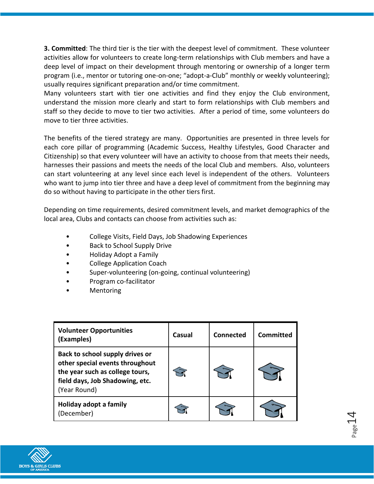**3. Committed**: The third tier is the tier with the deepest level of commitment. These volunteer activities allow for volunteers to create long-term relationships with Club members and have a deep level of impact on their development through mentoring or ownership of a longer term program (i.e., mentor or tutoring one-on-one; "adopt-a-Club" monthly or weekly volunteering); usually requires significant preparation and/or time commitment.

Many volunteers start with tier one activities and find they enjoy the Club environment, understand the mission more clearly and start to form relationships with Club members and staff so they decide to move to tier two activities. After a period of time, some volunteers do move to tier three activities.

The benefits of the tiered strategy are many. Opportunities are presented in three levels for each core pillar of programming (Academic Success, Healthy Lifestyles, Good Character and Citizenship) so that every volunteer will have an activity to choose from that meets their needs, harnesses their passions and meets the needs of the local Club and members. Also, volunteers can start volunteering at any level since each level is independent of the others. Volunteers who want to jump into tier three and have a deep level of commitment from the beginning may do so without having to participate in the other tiers first.

Depending on time requirements, desired commitment levels, and market demographics of the local area, Clubs and contacts can choose from activities such as:

- College Visits, Field Days, Job Shadowing Experiences
- Back to School Supply Drive
- Holiday Adopt a Family
- College Application Coach
- Super-volunteering (on-going, continual volunteering)
- Program co-facilitator
- **Mentoring**

| <b>Volunteer Opportunities</b><br>(Examples)                                                                                                             | Casual | Connected | <b>Committed</b> |
|----------------------------------------------------------------------------------------------------------------------------------------------------------|--------|-----------|------------------|
| Back to school supply drives or<br>other special events throughout<br>the year such as college tours,<br>field days, Job Shadowing, etc.<br>(Year Round) |        |           |                  |
| Holiday adopt a family<br>(December)                                                                                                                     |        |           |                  |

 $P_{\rm age}14$ 

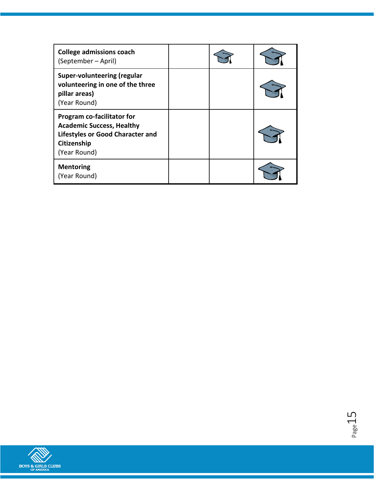| <b>College admissions coach</b><br>(September – April)                                                                            |  |  |
|-----------------------------------------------------------------------------------------------------------------------------------|--|--|
| Super-volunteering (regular<br>volunteering in one of the three<br>pillar areas)<br>(Year Round)                                  |  |  |
| Program co-facilitator for<br><b>Academic Success, Healthy</b><br>Lifestyles or Good Character and<br>Citizenship<br>(Year Round) |  |  |
| <b>Mentoring</b><br>(Year Round)                                                                                                  |  |  |

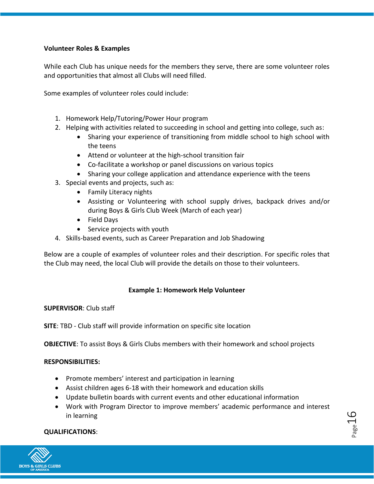## **Volunteer Roles & Examples**

While each Club has unique needs for the members they serve, there are some volunteer roles and opportunities that almost all Clubs will need filled.

Some examples of volunteer roles could include:

- 1. Homework Help/Tutoring/Power Hour program
- 2. Helping with activities related to succeeding in school and getting into college, such as:
	- Sharing your experience of transitioning from middle school to high school with the teens
	- Attend or volunteer at the high-school transition fair
	- Co-facilitate a workshop or panel discussions on various topics
	- Sharing your college application and attendance experience with the teens
- 3. Special events and projects, such as:
	- Family Literacy nights
	- Assisting or Volunteering with school supply drives, backpack drives and/or during Boys & Girls Club Week (March of each year)
	- Field Days
	- Service projects with youth
- 4. Skills-based events, such as Career Preparation and Job Shadowing

Below are a couple of examples of volunteer roles and their description. For specific roles that the Club may need, the local Club will provide the details on those to their volunteers.

#### **Example 1: Homework Help Volunteer**

#### **SUPERVISOR**: Club staff

**SITE**: TBD - Club staff will provide information on specific site location

**OBJECTIVE**: To assist Boys & Girls Clubs members with their homework and school projects

#### **RESPONSIBILITIES:**

- Promote members' interest and participation in learning
- Assist children ages 6-18 with their homework and education skills
- Update bulletin boards with current events and other educational information
- Work with Program Director to improve members' academic performance and interest in learning

 $P_{\text{age}}16$ 

#### **QUALIFICATIONS**:

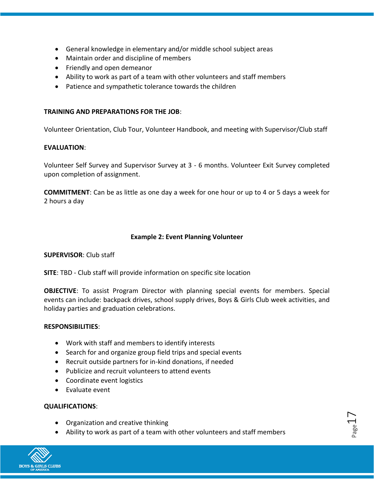- General knowledge in elementary and/or middle school subject areas
- Maintain order and discipline of members
- Friendly and open demeanor
- Ability to work as part of a team with other volunteers and staff members
- Patience and sympathetic tolerance towards the children

#### **TRAINING AND PREPARATIONS FOR THE JOB**:

Volunteer Orientation, Club Tour, Volunteer Handbook, and meeting with Supervisor/Club staff

#### **EVALUATION**:

Volunteer Self Survey and Supervisor Survey at 3 - 6 months. Volunteer Exit Survey completed upon completion of assignment.

**COMMITMENT**: Can be as little as one day a week for one hour or up to 4 or 5 days a week for 2 hours a day

#### **Example 2: Event Planning Volunteer**

#### **SUPERVISOR**: Club staff

**SITE**: TBD - Club staff will provide information on specific site location

**OBJECTIVE**: To assist Program Director with planning special events for members. Special events can include: backpack drives, school supply drives, Boys & Girls Club week activities, and holiday parties and graduation celebrations.

#### **RESPONSIBILITIES**:

- Work with staff and members to identify interests
- Search for and organize group field trips and special events
- Recruit outside partners for in-kind donations, if needed
- Publicize and recruit volunteers to attend events
- Coordinate event logistics
- Evaluate event

#### **QUALIFICATIONS**:

- Organization and creative thinking
- Ability to work as part of a team with other volunteers and staff members

 $_{\rm Page}17$ 

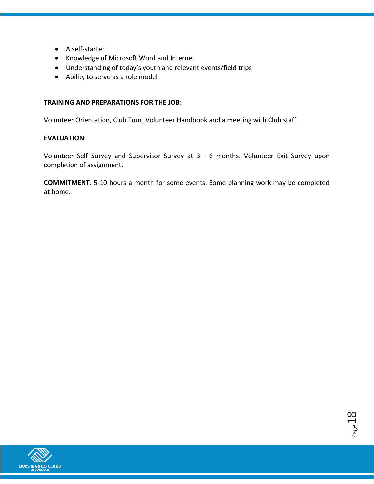- A self-starter
- Knowledge of Microsoft Word and Internet
- Understanding of today's youth and relevant events/field trips
- Ability to serve as a role model

#### **TRAINING AND PREPARATIONS FOR THE JOB**:

Volunteer Orientation, Club Tour, Volunteer Handbook and a meeting with Club staff

#### **EVALUATION**:

Volunteer Self Survey and Supervisor Survey at 3 - 6 months. Volunteer Exit Survey upon completion of assignment.

**COMMITMENT**: 5-10 hours a month for some events. Some planning work may be completed at home.

Page 18

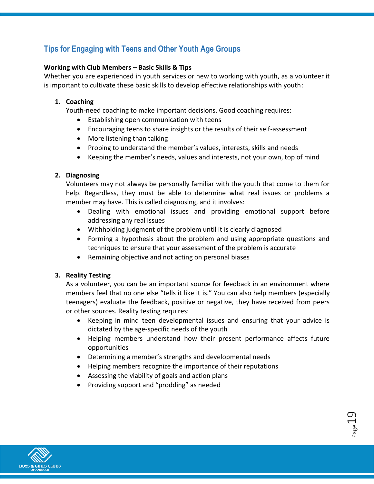# **Tips for Engaging with Teens and Other Youth Age Groups**

## **Working with Club Members – Basic Skills & Tips**

Whether you are experienced in youth services or new to working with youth, as a volunteer it is important to cultivate these basic skills to develop effective relationships with youth:

#### **1. Coaching**

Youth-need coaching to make important decisions. Good coaching requires:

- Establishing open communication with teens
- Encouraging teens to share insights or the results of their self-assessment
- More listening than talking
- Probing to understand the member's values, interests, skills and needs
- Keeping the member's needs, values and interests, not your own, top of mind

## **2. Diagnosing**

Volunteers may not always be personally familiar with the youth that come to them for help. Regardless, they must be able to determine what real issues or problems a member may have. This is called diagnosing, and it involves:

- Dealing with emotional issues and providing emotional support before addressing any real issues
- Withholding judgment of the problem until it is clearly diagnosed
- Forming a hypothesis about the problem and using appropriate questions and techniques to ensure that your assessment of the problem is accurate
- Remaining objective and not acting on personal biases

## **3. Reality Testing**

As a volunteer, you can be an important source for feedback in an environment where members feel that no one else "tells it like it is." You can also help members (especially teenagers) evaluate the feedback, positive or negative, they have received from peers or other sources. Reality testing requires:

- Keeping in mind teen developmental issues and ensuring that your advice is dictated by the age-specific needs of the youth
- Helping members understand how their present performance affects future opportunities

 $P_{\text{age}}19$ 

- Determining a member's strengths and developmental needs
- Helping members recognize the importance of their reputations
- Assessing the viability of goals and action plans
- Providing support and "prodding" as needed

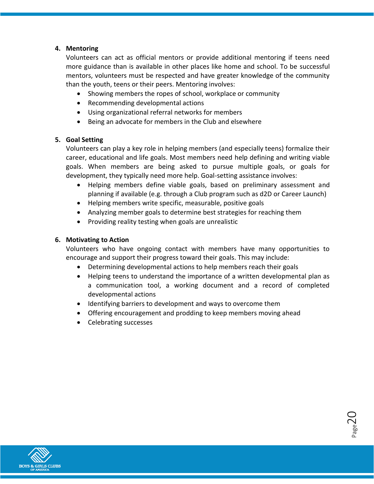## **4. Mentoring**

Volunteers can act as official mentors or provide additional mentoring if teens need more guidance than is available in other places like home and school. To be successful mentors, volunteers must be respected and have greater knowledge of the community than the youth, teens or their peers. Mentoring involves:

- Showing members the ropes of school, workplace or community
- Recommending developmental actions
- Using organizational referral networks for members
- Being an advocate for members in the Club and elsewhere

#### **5. Goal Setting**

Volunteers can play a key role in helping members (and especially teens) formalize their career, educational and life goals. Most members need help defining and writing viable goals. When members are being asked to pursue multiple goals, or goals for development, they typically need more help. Goal-setting assistance involves:

- Helping members define viable goals, based on preliminary assessment and planning if available (e.g. through a Club program such as d2D or Career Launch)
- Helping members write specific, measurable, positive goals
- Analyzing member goals to determine best strategies for reaching them
- Providing reality testing when goals are unrealistic

#### **6. Motivating to Action**

Volunteers who have ongoing contact with members have many opportunities to encourage and support their progress toward their goals. This may include:

- Determining developmental actions to help members reach their goals
- Helping teens to understand the importance of a written developmental plan as a communication tool, a working document and a record of completed developmental actions

 $_{\rm Page}$ 20

- Identifying barriers to development and ways to overcome them
- Offering encouragement and prodding to keep members moving ahead
- Celebrating successes

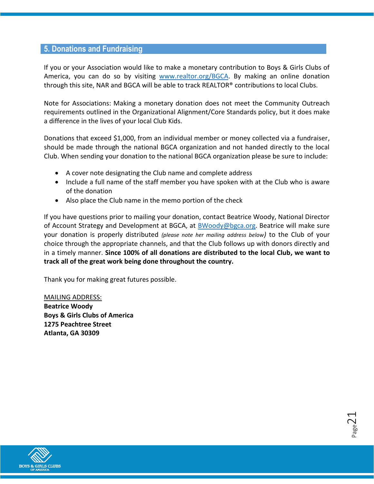## **5. Donations and Fundraising**

If you or your Association would like to make a monetary contribution to Boys & Girls Clubs of America, you can do so by visiting [www.realtor.org/BGCA.](http://www.realtor.org/BGCA) By making an online donation through this site, NAR and BGCA will be able to track REALTOR® contributions to local Clubs.

Note for Associations: Making a monetary donation does not meet the Community Outreach requirements outlined in the Organizational Alignment/Core Standards policy, but it does make a difference in the lives of your local Club Kids.

Donations that exceed \$1,000, from an individual member or money collected via a fundraiser, should be made through the national BGCA organization and not handed directly to the local Club. When sending your donation to the national BGCA organization please be sure to include:

- A cover note designating the Club name and complete address
- Include a full name of the staff member you have spoken with at the Club who is aware of the donation
- Also place the Club name in the memo portion of the check

If you have questions prior to mailing your donation, contact Beatrice Woody, National Director of Account Strategy and Development at BGCA, at [BWoody@bgca.org.](mailto:BWoody@bgca.org) Beatrice will make sure your donation is properly distributed *(please note her mailing address below)* to the Club of your choice through the appropriate channels, and that the Club follows up with donors directly and in a timely manner. **Since 100% of all donations are distributed to the local Club, we want to track all of the great work being done throughout the country.**

Thank you for making great futures possible.

MAILING ADDRESS: **Beatrice Woody Boys & Girls Clubs of America 1275 Peachtree Street Atlanta, GA 30309**



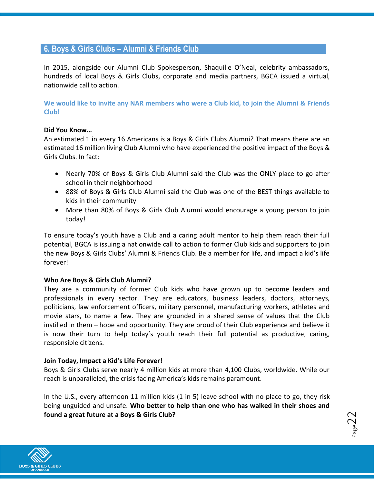## **6. Boys & Girls Clubs – Alumni & Friends Club**

In 2015, alongside our Alumni Club Spokesperson, Shaquille O'Neal, celebrity ambassadors, hundreds of local Boys & Girls Clubs, corporate and media partners, BGCA issued a virtual, nationwide call to action.

**We would like to invite any NAR members who were a Club kid, to join the Alumni & Friends Club!**

#### **Did You Know…**

An estimated 1 in every 16 Americans is a Boys & Girls Clubs Alumni? That means there are an estimated 16 million living Club Alumni who have experienced the positive impact of the Boys & Girls Clubs. In fact:

- Nearly 70% of Boys & Girls Club Alumni said the Club was the ONLY place to go after school in their neighborhood
- 88% of Boys & Girls Club Alumni said the Club was one of the BEST things available to kids in their community
- More than 80% of Boys & Girls Club Alumni would encourage a young person to join today!

To ensure today's youth have a Club and a caring adult mentor to help them reach their full potential, BGCA is issuing a nationwide call to action to former Club kids and supporters to join the new Boys & Girls Clubs' Alumni & Friends Club. Be a member for life, and impact a kid's life forever!

#### **Who Are Boys & Girls Club Alumni?**

They are a community of former Club kids who have grown up to become leaders and professionals in every sector. They are educators, business leaders, doctors, attorneys, politicians, law enforcement officers, military personnel, manufacturing workers, athletes and movie stars, to name a few. They are grounded in a shared sense of values that the Club instilled in them – hope and opportunity. They are proud of their Club experience and believe it is now their turn to help today's youth reach their full potential as productive, caring, responsible citizens.

#### **Join Today, Impact a Kid's Life Forever!**

Boys & Girls Clubs serve nearly 4 million kids at more than 4,100 Clubs, worldwide. While our reach is unparalleled, the crisis facing America's kids remains paramount.

In the U.S., every afternoon 11 million kids (1 in 5) leave school with no place to go, they risk being unguided and unsafe. **Who better to help than one who has walked in their shoes and found a great future at a Boys & Girls Club?**



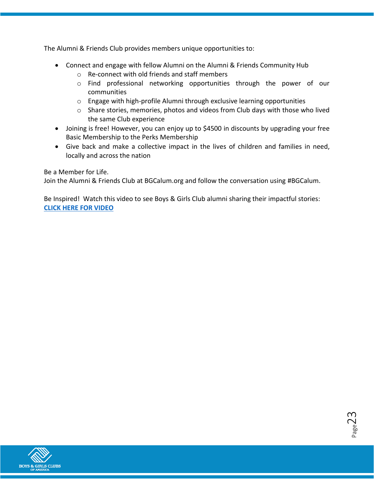The Alumni & Friends Club provides members unique opportunities to:

- Connect and engage with fellow Alumni on the Alumni & Friends Community Hub
	- o Re-connect with old friends and staff members
	- o Find professional networking opportunities through the power of our communities
	- $\circ$  Engage with high-profile Alumni through exclusive learning opportunities
	- o Share stories, memories, photos and videos from Club days with those who lived the same Club experience
- Joining is free! However, you can enjoy up to \$4500 in discounts by upgrading your free Basic Membership to the Perks Membership
- Give back and make a collective impact in the lives of children and families in need, locally and across the nation

Be a Member for Life.

Join the Alumni & Friends Club at BGCalum.org and follow the conversation using #BGCalum.

Be Inspired! Watch this video to see Boys & Girls Club alumni sharing their impactful stories: **[CLICK HERE FOR VIDEO](https://www.youtube.com/watch?v=Ja6Wit8Sowc&feature=youtu.be&list=PL8O6tdwpXwZaODWiV_exSdxdmXtAOYRTl)**

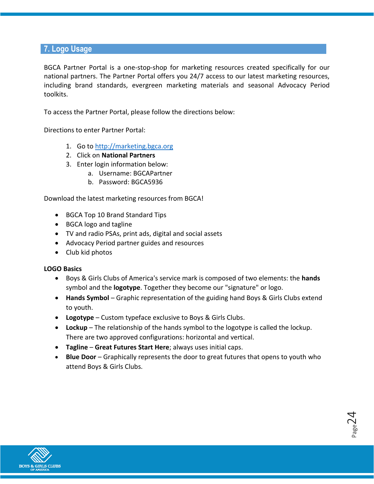## **7. Logo Usage**

BGCA Partner Portal is a one-stop-shop for marketing resources created specifically for our national partners. The Partner Portal offers you 24/7 access to our latest marketing resources, including brand standards, evergreen marketing materials and seasonal Advocacy Period toolkits.

To access the Partner Portal, please follow the directions below:

Directions to enter Partner Portal:

- 1. Go t[o http://marketing.bgca.org](http://marketing.bgca.org/)
- 2. Click on **National Partners**
- 3. Enter login information below:
	- a. Username: BGCAPartner
	- b. Password: BGCA5936

Download the latest marketing resources from BGCA!

- BGCA Top 10 Brand Standard Tips
- BGCA logo and tagline
- TV and radio PSAs, print ads, digital and social assets
- Advocacy Period partner guides and resources
- Club kid photos

#### **LOGO Basics**

- Boys & Girls Clubs of America's service mark is composed of two elements: the **hands** symbol and the **logotype**. Together they become our "signature" or logo.
- **Hands Symbol** Graphic representation of the guiding hand Boys & Girls Clubs extend to youth.
- **Logotype** Custom typeface exclusive to Boys & Girls Clubs.
- **Lockup** The relationship of the hands symbol to the logotype is called the lockup. There are two approved configurations: horizontal and vertical.
- **Tagline Great Futures Start Here**; always uses initial caps.
- **Blue Door** Graphically represents the door to great futures that opens to youth who attend Boys & Girls Clubs.

 $_{\rm Page}$ 24

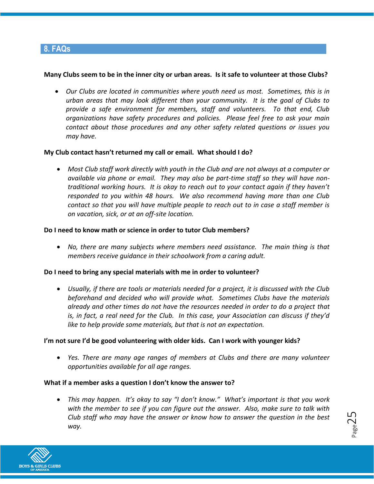## **8. FAQs**

#### **Many Clubs seem to be in the inner city or urban areas. Is it safe to volunteer at those Clubs?**

 *Our Clubs are located in communities where youth need us most. Sometimes, this is in urban areas that may look different than your community. It is the goal of Clubs to provide a safe environment for members, staff and volunteers. To that end, Club organizations have safety procedures and policies. Please feel free to ask your main contact about those procedures and any other safety related questions or issues you may have.* 

#### **My Club contact hasn't returned my call or email. What should I do?**

 *Most Club staff work directly with youth in the Club and are not always at a computer or available via phone or email. They may also be part-time staff so they will have nontraditional working hours. It is okay to reach out to your contact again if they haven't responded to you within 48 hours. We also recommend having more than one Club contact so that you will have multiple people to reach out to in case a staff member is on vacation, sick, or at an off-site location.* 

#### **Do I need to know math or science in order to tutor Club members?**

 *No, there are many subjects where members need assistance. The main thing is that members receive guidance in their schoolwork from a caring adult.*

#### **Do I need to bring any special materials with me in order to volunteer?**

 *Usually, if there are tools or materials needed for a project, it is discussed with the Club beforehand and decided who will provide what. Sometimes Clubs have the materials already and other times do not have the resources needed in order to do a project that is, in fact, a real need for the Club. In this case, your Association can discuss if they'd like to help provide some materials, but that is not an expectation.* 

#### **I'm not sure I'd be good volunteering with older kids. Can I work with younger kids?**

 *Yes. There are many age ranges of members at Clubs and there are many volunteer opportunities available for all age ranges.* 

#### **What if a member asks a question I don't know the answer to?**

 *This may happen. It's okay to say "I don't know." What's important is that you work with the member to see if you can figure out the answer. Also, make sure to talk with Club staff who may have the answer or know how to answer the question in the best way.*